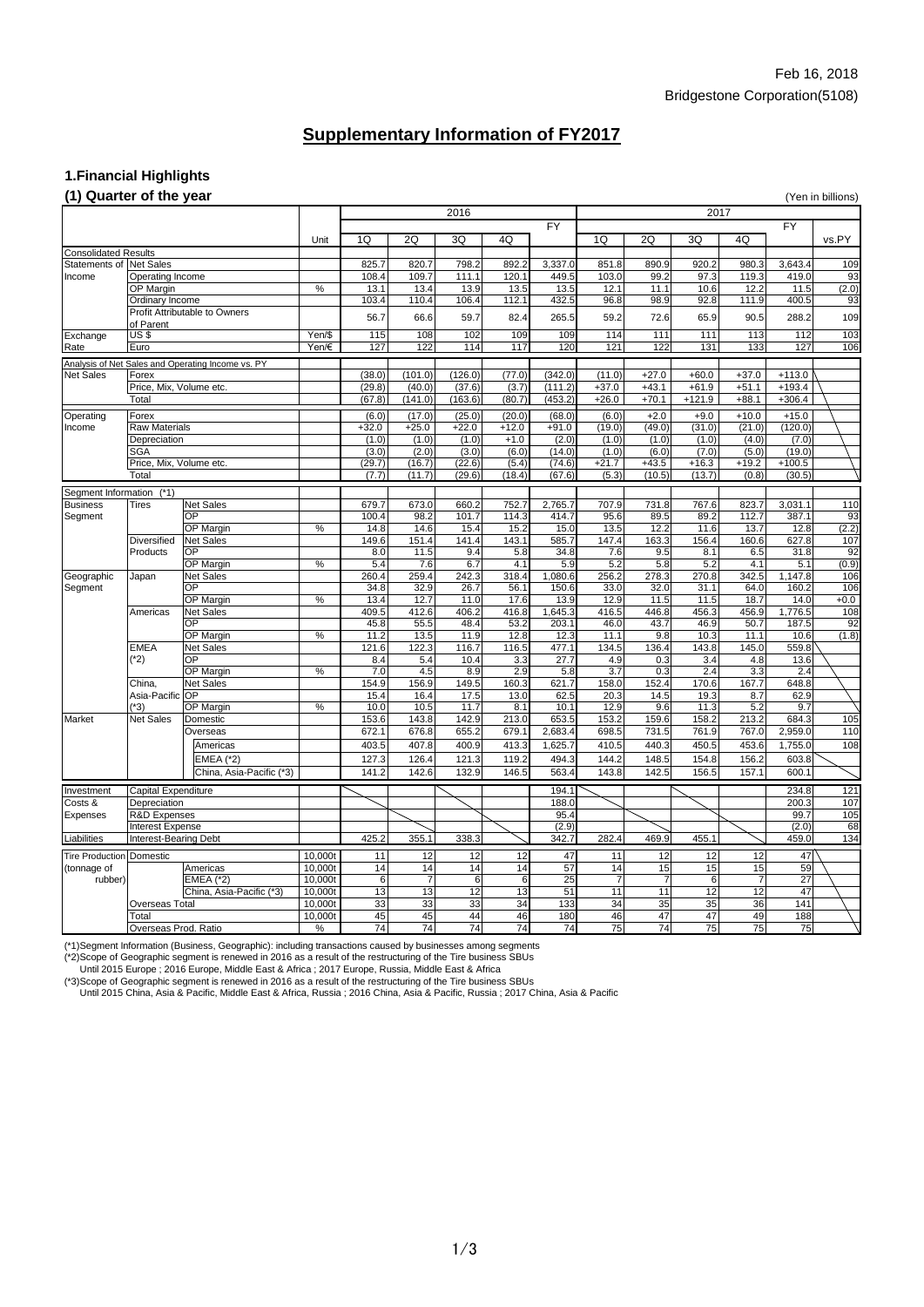## **1.Financial Highlights**

### **(1) Quarter of the year** (Yen in billions)

FY FY FY Unit | 1Q | 2Q | 3Q | 4Q | 1Q | 2Q | 3Q | 4Q | vs.PY Consolidated Results Statements of |Net Sales 825.7| 820.7| 798.2| 892.2| 3,337.0| 851.8| 890.9| 920.2| 980.3| 3,643.4| 109 Income |Operating Income | 108.4 | 109.7 | 111.1 | 120.1 | 449.5 | 103.0 | 99.2 | 97.3 | 119.3 | 419.0 | 93 OP Margin % 13.1 13.4 13.9 13.5 13.5 12.1 11.1 10.6 12.2 11.5 (2.0) Ordinary Income 103.4 103.4 110.4 106.4 112.1 432.5 96.8 98.9 92.8 111.9 400.5 93 56.7 66.6 59.7 82.4 265.5 59.2 72.6 65.9 90.5 288.2 109 Exchange US\$ | Yen/\$ | 115| 108| 102| 109| 114| 111| 111| 113| 112| 103 Rate |Euro Yen/€ | 127 122 114 117 120 121 121 131 133 127 106 Analysis of Net Sales and Operating Income vs. PY Net Sales Forex (38.0) (101.0) (126.0) (77.0) (342.0) (11.0) +27.0 +60.0 +37.0 +113.0 Price, Mix, Volume etc. (29.8) (29.8) (40.0) (37.6) (3.7) (111.2) +37.0 +43.1 +61.9 +51.1 +193.4 Total (67.8) (141.0) (163.6) (80.7) (453.2) +26.0 +70.1 +121.9 +88.1 +306.4 Operating |Forex | | (6.0)| (17.0)| (25.0)| (20.0)| (68.0)| (6.0)| +2.0 | +9.0 | +10.0 | +15.0 Income Raw Materials +32.0 +25.0 +22.0 +12.0 +91.0 (19.0) (49.0) (31.0) (21.0) (120.0) Depreciation (1.0) (1.0) (1.0) +1.0 (2.0) (1.0) (1.0) (1.0) (4.0) (7.0) SGA (3.0) (2.0) (3.0) (6.0) (14.0) (1.0) (6.0) (7.0) (5.0) (19.0) Price, Mix, Volume etc. **19.2 | The Canada Canada (29.7)** (16.7) (22.6) (5.4) (74.6) +21.7 +43.5 +16.3 +19.2 +100.5 Total (7.7) (11.7) (29.6) (18.4) (67.6) (5.3) (10.5) (13.7) (0.8) (30.5) Segment Information (\*1) Business |Tires |Net Sales | | | 679.7| 673.0| 660.2| 752.7| 2,765.7| 707.9| 731.8| 767.6| 823.7| 3,031.1| 110 Segment | |OP | | 100.4 98.2 101.7 114.3 414.7 95.6 89.5 89.2 112.7 387.1 93 OP Margin % 14.8 14.6 15.4 15.2 15.0 13.5 12.2 11.6 13.7 12.8 (2.2) Diversified Net Sales 149.6 151.4 141.4 143.1 585.7 147.4 163.3 156.4 160.6 627.8 107 Products OP 8.0 11.5 9.4 5.8 34.8 7.6 9.5 8.1 6.5 31.8 92 OP Margin % 5.4 7.6 6.7 4.1 5.9 5.2 5.8 5.2 4.1 5.1 (0.9) Geographic |Japan |Net Sales | | | 260.4| 259.4| 242.3| 318.4| 1,080.6| 256.2| 278.3| 270.8| 342.5| 1,147.8| 106 Segment | |OP | | 134.8 32.9 26.7 56.1 150.6 33.0 32.0 31.1 64.0 160.2 106 OP Margin % 13.4 12.7 11.0 17.6 13.9 12.9 11.5 11.5 18.7 14.0 +0.0 Americas |Net Sales | | 409.5| 412.6| 406.2| 416.8| 1,645.3| 416.5| 456.8| 456.9| 1,776.5| 108 OP 45.8 55.5 48.4 53.2 203.1 46.0 43.7 46.9 50.7 187.5 92 OP Margin % 11.2 13.5 11.9 12.8 12.3 11.1 9.8 10.3 11.1 10.6 (1.8) EMEA Net Sales 121.6 122.3 116.7 116.5 477.1 134.5 136.4 143.8 145.0 559.8 OP 8.4 5.4 10.4 3.3 27.7 4.9 0.3 3.4 4.8 13.6 OP Margin % 7.0 4.5 8.9 2.9 5.8 3.7 0.3 2.4 3.3 2.4 China, Net Sales 154.9 156.9 149.5 160.3 621.7 158.0 152.4 170.6 167.7 648.8 (\*2) Profit Attributable to Owners of Parent

> Overseas 672.1 676.8 655.2 679.1 2,683.4 698.5 731.5 761.9 767.0 2,959.0 110 Americas 403.5 407.8 400.9 413.3 1,625.7 410.5 440.3 450.5 453.6 1,755.0 108

EMEA (\*2) 127.3 126.4 121.3 119.2 494.3 144.2 148.5 154.8 156.2 603.8 China, Asia-Pacific (\*3) 141.2 142.6 132.9 146.5 563.4 143.8 142.5 156.5 157.1 600.1

Investment Capital Expenditure 194.1 234.8 121

Asia-Pacific OP 15.4 16.4 17.5 13.0 62.5 20.3 14.5 19.3 8.7 62.9 (\*3) OP Margin % 10.0 10.5 11.7 8.1 10.1 12.9 9.6 11.3 5.2 9.7 Market |Net Sales |Domestic | | 153.6 | 143.8 | 142.9 | 213.0 | 653.5 | 153.2 | 159.6 | 158.2 | 213.2 | 684.3 | 105

| Costs &                             | Depreciation                 |                          |         |                 |       |       |      | 188.0           |       |                 |                 |      | 200.3 | 107 |
|-------------------------------------|------------------------------|--------------------------|---------|-----------------|-------|-------|------|-----------------|-------|-----------------|-----------------|------|-------|-----|
| Expenses<br><b>R&amp;D</b> Expenses |                              |                          |         |                 |       |       | 95.4 |                 |       |                 |                 | 99.7 | 105   |     |
|                                     | Interest Expense             |                          |         |                 |       |       |      | (2.9)           |       |                 |                 |      | (2.0) | 68  |
| Liabilities                         | <b>Interest-Bearing Debt</b> |                          |         | 425.2           | 355.1 | 338.3 |      | 342.7           | 282.4 | 469.9           | 455.1           |      | 459.0 | 134 |
| <b>Tire Production Domestic</b>     |                              | 10,000t                  |         | 12 <sub>1</sub> |       |       | 47   | 11              | 12    |                 | 12 <sub>l</sub> | 47   |       |     |
| (tonnage of                         |                              | Americas                 | 10,000t | 14              | 14    | 14    |      | 57              | 14.   | 15 <sub>1</sub> | 15              | 15I  | 59    |     |
| rubber)                             |                              | $EMEA$ $(*2)$            | 10,000t |                 |       |       |      | 25              |       |                 |                 |      | 27    |     |
|                                     |                              | China, Asia-Pacific (*3) | 10,000t | 13 <sub>1</sub> | 13    | 12    |      | 51              | 11    |                 | 12              | 12   | 47    |     |
|                                     | Overseas Total               |                          | 10,000t | 33              | 33    | 33    | 34   | 133             | 34    | 35              | 35              | 36   | 141   |     |
|                                     | Total                        |                          | 10,000t | 45              | 45    | 44    | 46   | 180             | 46    | 47              | 47              | 49   | 188   |     |
|                                     | Overseas Prod. Ratio         |                          | ℅       | 74 <sub>1</sub> | 74    | 74    |      | 74 <sub>1</sub> | 75    | 74              | 75              | 75   | 75    |     |

(\*1)Segment Information (Business, Geographic): including transactions caused by businesses among segments

(\*2)Scope of Geographic segment is renewed in 2016 as a result of the restructuring of the Tire business SBUs

Until 2015 Europe ; 2016 Europe, Middle East & Africa ; 2017 Europe, Russia, Middle East & Africa

(\*3)Scope of Geographic segment is renewed in 2016 as a result of the restructuring of the Tire business SBUs

Until 2015 China, Asia & Pacific, Middle East & Africa, Russia ; 2016 China, Asia & Pacific, Russia ; 2017 China, Asia & Pacific

# **Supplementary Information of FY2017**

2016 2017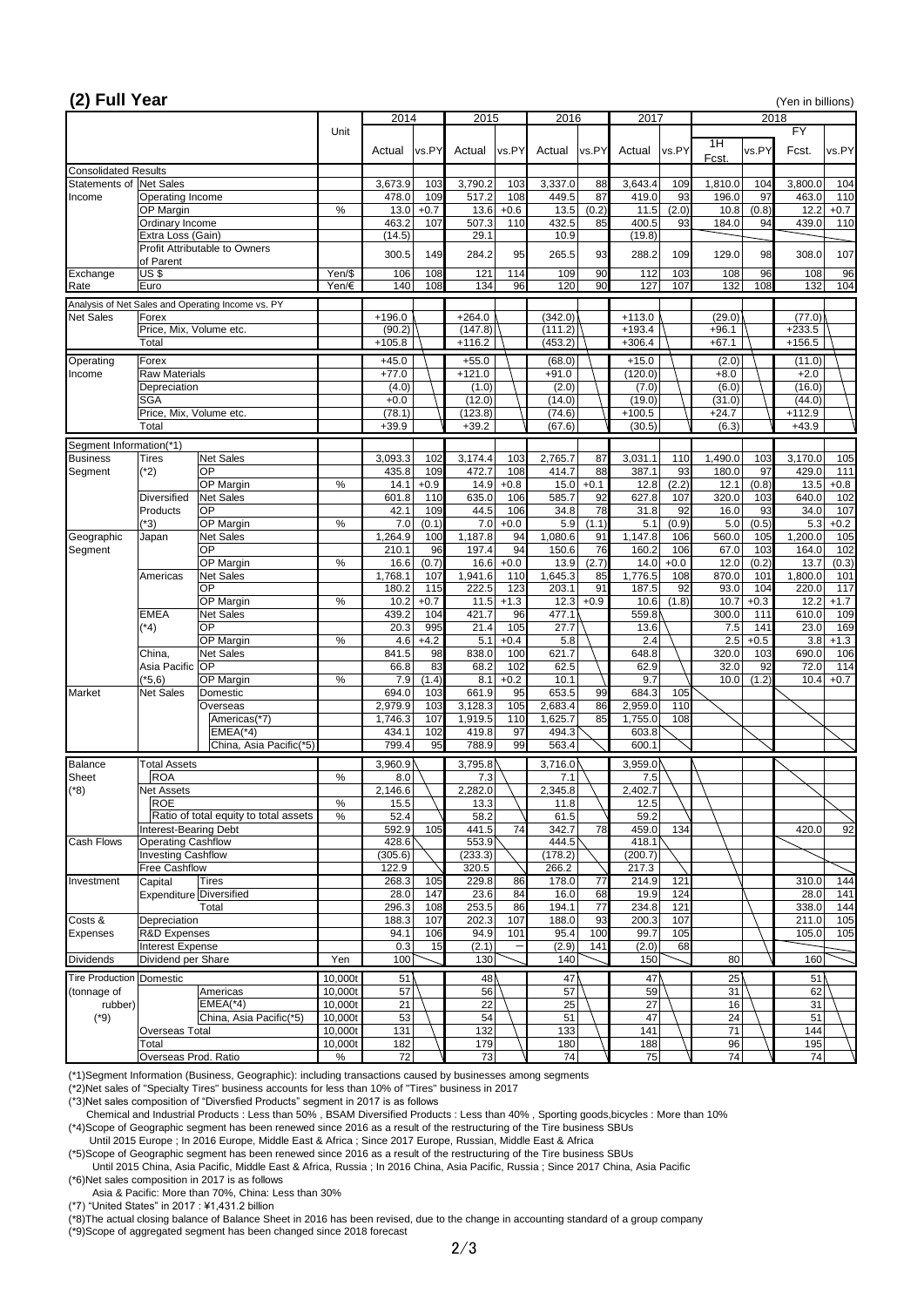| (2) Full Year                                                     |                                                         |                                       |                    |                    |               |                     |               |                    |                 |                      |               |                   |             | (Yen in billions)  |               |
|-------------------------------------------------------------------|---------------------------------------------------------|---------------------------------------|--------------------|--------------------|---------------|---------------------|---------------|--------------------|-----------------|----------------------|---------------|-------------------|-------------|--------------------|---------------|
|                                                                   |                                                         |                                       |                    | 2014               |               | 2015                |               | 2016               |                 | 2017                 |               |                   |             | 2018               |               |
|                                                                   |                                                         |                                       | Unit               | Actual             | vs.PY         | Actual              | vs.PY         | Actual             | vs.PY           | Actual               | vs.PY         | 1H<br>Fcst.       | vs.PY       | FY<br>Fcst.        | vs.PY         |
| <b>Consolidated Results</b>                                       |                                                         |                                       |                    |                    |               |                     |               |                    |                 |                      |               |                   |             |                    |               |
| Statements of Net Sales                                           |                                                         |                                       |                    | 3,673.9            | 103           | 3,790.2             | 103           | 3,337.0            | 88              | 3,643.4              | 109           | 1,810.0           | 104         | 3,800.0            | 104           |
| Income                                                            | Operating Income<br>OP Margin                           |                                       | $\%$               | 478.0<br>13.0      | 109<br>$+0.7$ | 517.2<br>13.6       | 108<br>$+0.6$ | 449.5<br>13.5      | 87<br>(0.2)     | 419.0<br>11.5        | 93<br>(2.0)   | 196.0<br>10.8     | 97<br>(0.8) | 463.0<br>12.2      | 110<br>$+0.7$ |
|                                                                   | Ordinary Income                                         |                                       |                    | 463.2              | 107           | 507.3               | 110           | 432.5              | 85              | 400.5                | 93            | 184.0             | 94          | 439.0              | 110           |
|                                                                   | Extra Loss (Gain)                                       |                                       |                    | (14.5)             |               | 29.1                |               | 10.9               |                 | (19.8)               |               |                   |             |                    |               |
|                                                                   | <b>Profit Attributable to Owners</b>                    |                                       |                    |                    |               |                     |               |                    |                 |                      |               |                   |             | 308.0              |               |
|                                                                   | of Parent                                               |                                       |                    | 300.5              | 149           | 284.2               | 95            | 265.5              | 93              | 288.2                | 109           | 129.0             | 98          |                    | 107           |
| Exchange                                                          | US\$                                                    |                                       | Yen/\$             | 106                | 108           | 121                 | 114           | 109                | 90              | 112                  | 103           | 108               | 96          | 108                | 96            |
| Rate                                                              | Euro                                                    |                                       | Yen/ $\notin$      | 140                | 108           | 134                 | 96            | 120                | 90              | 127                  | 107           | 132               | 108         | 132                | 104           |
|                                                                   | Analysis of Net Sales and Operating Income vs. PY       |                                       |                    |                    |               |                     |               |                    |                 |                      |               |                   |             |                    |               |
| <b>Net Sales</b>                                                  | Forex<br>Price, Mix, Volume etc.                        |                                       |                    | $+196.0$<br>(90.2) |               | $+264.0$<br>(147.8) |               | (342.0)<br>(111.2) |                 | $+113.0$<br>$+193.4$ |               | (29.0)<br>$+96.1$ |             | (77.0)<br>$+233.5$ |               |
|                                                                   | Total                                                   |                                       |                    | $+105.8$           |               | $+116.2$            |               | (453.2)            |                 | $+306.4$             |               | $+67.1$           |             | $+156.5$           |               |
| Operating                                                         | Forex                                                   |                                       |                    | $+45.0$            |               | $+55.0$             |               | (68.0)             |                 | $+15.0$              |               | (2.0)             |             | (11.0)             |               |
| Income                                                            | <b>Raw Materials</b>                                    |                                       |                    | $+77.0$            |               | $+121.0$            |               | $+91.0$            |                 | (120.0)              |               | $+8.0$            |             | $+2.0$             |               |
|                                                                   | Depreciation                                            |                                       |                    | (4.0)              |               | (1.0)               |               | (2.0)              |                 | (7.0)                |               | (6.0)             |             | (16.0)             |               |
|                                                                   | <b>SGA</b>                                              |                                       |                    | $+0.0$             |               | (12.0)              |               | (14.0)             |                 | (19.0)               |               | (31.0)            |             | (44.0)             |               |
|                                                                   | Price, Mix, Volume etc.                                 |                                       |                    | (78.1)             |               | (123.8)             |               | (74.6)             |                 | $+100.5$             |               | $+24.7$           |             | $+112.9$           |               |
|                                                                   | <b>Total</b>                                            |                                       |                    | $+39.9$            |               | $+39.2$             |               | (67.6)             |                 | (30.5)               |               | (6.3)             |             | $+43.9$            |               |
| Segment Information(*1)                                           |                                                         |                                       |                    |                    |               |                     |               |                    |                 |                      |               |                   |             |                    |               |
| <b>Business</b>                                                   | <b>Net Sales</b><br><b>Tires</b>                        |                                       |                    | 3,093.3            | 102           | 3,174.4             | 103           | 2,765.7            | 87              | 3,031.1              | 110           | 1,490.0           | 103         | 3,170.0            | 105           |
| Segment                                                           | <b>OP</b><br>$(*2)$<br>OP Margin                        |                                       | $\%$               | 435.8<br>14.1      | 109<br>$+0.9$ | 472.7<br>14.9       | 108<br>$+0.8$ | 414.7<br>15.0      | 88<br>$+0.1$    | 387.1<br>12.8        | 93            | 180.0<br>12.1     | 97<br>(0.8) | 429.0              | 111           |
|                                                                   | <b>Diversified</b><br><b>Net Sales</b>                  |                                       |                    | 601.8              | 110           | 635.0               | 106           | 585.7              | 92              | 627.8                | (2.2)<br>107  | 320.0             | 103         | 13.5<br>640.0      | $+0.8$<br>102 |
|                                                                   | <b>OP</b><br>Products                                   |                                       |                    | 42.1               | 109           | 44.5                | 106           | 34.8               | 78              | 31.8                 | 92            | 16.0              | 93          | 34.0               | 107           |
|                                                                   | $(*3)$<br>OP Margin                                     |                                       | $\%$               | 7.0                | (0.1)         | 7.0                 | $+0.0$        | 5.9                | (1.1)           | 5.1                  | (0.9)         | 5.0               | (0.5)       | 5.3                | $+0.2$        |
| Geographic                                                        | <b>Net Sales</b><br>Japan                               |                                       |                    | 1,264.9            | 100           | 1,187.8             | 94            | 1,080.6            | 91              | 1,147.8              | 106           | 560.0             | 105         | 1,200.0            | 105           |
| Segment                                                           | <b>OP</b>                                               |                                       |                    | 210.1              | 96            | 197.4               | 94            | 150.6              | 76              | 160.2                | 106           | 67.0              | 103         | 164.0              | 102           |
|                                                                   | OP Margin                                               |                                       | $\%$               | 16.6<br>1,768.1    | (0.7)         | 16.6<br>1,941.6     | $+0.0$        | 13.9<br>1,645.3    | (2.7)           | 14.0<br>1,776.5      | $+0.0$<br>108 | 12.0<br>870.0     | (0.2)       | 13.7               | (0.3)<br>101  |
|                                                                   | <b>Net Sales</b><br>Americas<br><b>OP</b>               |                                       |                    | 180.2              | 107<br>115    | 222.5               | 110<br>123    | 203.1              | 85<br>91        | 187.5                | 92            | 93.0              | 101<br>104  | 1,800.0<br>220.0   | 117           |
|                                                                   | OP Margin                                               |                                       | $\%$               | 10.2               | $+0.7$        | 11.5                | $+1.3$        | 12.3               | $+0.9$          | 10.6                 | (1.8)         | 10.7              | $+0.3$      | 12.2               | $+1.7$        |
|                                                                   | <b>EMEA</b><br><b>Net Sales</b>                         |                                       |                    | 439.2              | 104           | 421.7               | 96            | 477.1              |                 | 559.8                |               | 300.0             | 111         | 610.0              | 109           |
|                                                                   | <b>OP</b><br>$(*4)$                                     |                                       |                    | 20.3               | 995           | 21.4                | 105           | 27.7               |                 | 13.6                 |               | 7.5               | 141         | 23.0               | 169           |
|                                                                   | OP Margin                                               |                                       | $\%$               | 4.6                | $+4.2$        | 5.1                 | $+0.4$        | 5.8                |                 | 2.4                  |               | 2.5               | $+0.5$      | 3.8                | $+1.3$        |
|                                                                   | China,<br><b>Net Sales</b><br><b>OP</b><br>Asia Pacific |                                       |                    | 841.5<br>66.8      | 98<br>83      | 838.0<br>68.2       | 100<br>102    | 621.7<br>62.5      |                 | 648.8<br>62.9        |               | 320.0<br>32.0     | 103<br>92   | 690.0<br>72.0      | 106<br>114    |
|                                                                   | $(*5,6)$<br>OP Margin                                   |                                       | $\%$               | 7.9                | (1.4)         | 8.1                 | $+0.2$        | 10.1               |                 | 9.7                  |               | 10.0              | (1.2)       | 10.4               | $+0.7$        |
| Market                                                            | <b>Net Sales</b><br>Domestic                            |                                       |                    | 694.0              | 103           | 661.9               | 95            | 653.5              | 99              | 684.3                | 105           |                   |             |                    |               |
|                                                                   | Overseas                                                |                                       |                    | 2,979.9            | 103           | 3,128.3             | 105           | 2,683.4            | 86              | 2,959.0              | 110           |                   |             |                    |               |
|                                                                   |                                                         | Americas(*7)                          |                    | 1,746.3            | 107           | 1,919.5             | 110           | 1,625.7            | 85              | 1,755.0              | 108           |                   |             |                    |               |
|                                                                   |                                                         | $EMEA(*4)$                            |                    | 434.1              | 102           | 419.8               | 97            | 494.3              |                 | 603.8                |               |                   |             |                    |               |
|                                                                   |                                                         | China, Asia Pacific(*5)               |                    | 799.4              | 95            | 788.9               | 99            | 563.4              |                 | 600.1                |               |                   |             |                    |               |
| Balance                                                           | <b>Total Assets</b>                                     |                                       |                    | 3,960.9            |               | 3,795.8             |               | 3,716.0            |                 | 3,959.0              |               |                   |             |                    |               |
| <b>Sheet</b><br>$(*8)$                                            | <b>ROA</b><br><b>Net Assets</b>                         |                                       | $\%$               | 8.0<br>2,146.6     |               | 7.3<br>2,282.0      |               | 7.1<br>2,345.8     |                 | 7.5<br>2,402.7       |               |                   |             |                    |               |
|                                                                   | <b>ROE</b>                                              |                                       | $\%$               | 15.5               |               | 13.3                |               | 11.8               |                 | 12.5                 |               |                   |             |                    |               |
|                                                                   |                                                         | Ratio of total equity to total assets | $\%$               | 52.4               |               | 58.2                |               | 61.5               |                 | 59.2                 |               |                   |             |                    |               |
|                                                                   | Interest-Bearing Debt                                   |                                       |                    | 592.9              | 105           | 441.5               | 74            | 342.7              | 78              | 459.0                | 134           |                   |             | 420.0              | 92            |
| <b>Cash Flows</b>                                                 | <b>Operating Cashflow</b>                               |                                       |                    | 428.6              |               | 553.9               |               | 444.5              |                 | 418.1                |               |                   |             |                    |               |
|                                                                   | <b>Investing Cashflow</b><br><b>Free Cashflow</b>       |                                       |                    | (305.6)<br>122.9   |               | (233.3)<br>320.5    |               | (178.2)<br>266.2   |                 | (200.7)<br>217.3     |               |                   |             |                    |               |
| Investment                                                        | <b>Tires</b><br>Capital                                 |                                       |                    | 268.3              | 105           | 229.8               | 86            | 178.0              | 77              | 214.9                | 121           |                   |             | 310.0              | 144           |
|                                                                   | <b>Expenditure Diversified</b>                          |                                       |                    | 28.0               | 147           | 23.6                | 84            | 16.0               | 68              | 19.9                 | 124           |                   |             | 28.0               | 141           |
|                                                                   | Total                                                   |                                       |                    | 296.3              | 108           | 253.5               | 86            | 194.1              | $\overline{77}$ | 234.8                | 121           |                   |             | 338.0              | 144           |
| Costs &                                                           | Depreciation                                            |                                       |                    | 188.3              | 107           | 202.3               | 107           | 188.0              | 93              | 200.3                | 107           |                   |             | 211.0              | 105           |
| Expenses                                                          | <b>R&amp;D Expenses</b>                                 |                                       |                    | 94.1               | 106           | 94.9                | 101           | 95.4               | 100             | 99.7                 | 105           |                   |             | 105.0              | 105           |
| <b>Interest Expense</b><br>Dividend per Share<br><b>Dividends</b> |                                                         | Yen                                   | 0.3<br>100         | 15                 | (2.1)<br>130  |                     | (2.9)<br>140  | 141                | (2.0)<br>150    | 68                   | 80            |                   | 160         |                    |               |
|                                                                   |                                                         |                                       |                    |                    |               |                     |               |                    |                 |                      |               |                   |             |                    |               |
| Tire Production Domestic<br>(tonnage of                           | Americas                                                |                                       | 10,000t<br>10,000t | 51<br>57           |               | 48 \<br>56          |               | 47<br>57           |                 | 47<br>59             |               | 25<br>31          |             | 51<br>62           |               |
| rubber)                                                           | $EMEA(*4)$                                              |                                       | 10,000t            | 21                 |               | 22                  |               | 25                 |                 | 27                   |               | 16                |             | 31                 |               |
| $(*9)$                                                            |                                                         | China, Asia Pacific(*5)               | 10,000t            | 53                 |               | 54                  |               | 51                 |                 | 47                   |               | 24                |             | 51                 |               |
|                                                                   | <b>Overseas Total</b>                                   |                                       | 10,000t            | 131                |               | 132                 |               | 133                |                 | 141                  |               | 71                |             | 144                |               |
|                                                                   | Total                                                   |                                       | 10,000t            | 182                |               | 179                 |               | 180                |                 | 188                  |               | 96                |             | 195                |               |
|                                                                   | Overseas Prod. Ratio                                    |                                       | $\%$               | 72                 |               | 73                  |               | 74                 |                 | 75                   |               | 74                |             | 74                 |               |

(\*1)Segment Information (Business, Geographic): including transactions caused by businesses among segments

(\*2)Net sales of "Specialty Tires" business accounts for less than 10% of "Tires" business in 2017

(\*3)Net sales composition of "Diversfied Products" segment in 2017 is as follows

Chemical and Industrial Products : Less than 50% , BSAM Diversified Products : Less than 40% , Sporting goods,bicycles : More than 10%

(\*4)Scope of Geographic segment has been renewed since 2016 as a result of the restructuring of the Tire business SBUs

Until 2015 Europe ; In 2016 Europe, Middle East & Africa ; Since 2017 Europe, Russian, Middle East & Africa

(\*5)Scope of Geographic segment has been renewed since 2016 as a result of the restructuring of the Tire business SBUs

 Until 2015 China, Asia Pacific, Middle East & Africa, Russia ; In 2016 China, Asia Pacific, Russia ; Since 2017 China, Asia Pacific (\*6)Net sales composition in 2017 is as follows

Asia & Pacific: More than 70%, China: Less than 30%

(\*7) "United States" in 2017 : ¥1,431.2 billion

(\*8)The actual closing balance of Balance Sheet in 2016 has been revised, due to the change in accounting standard of a group company

(\*9)Scope of aggregated segment has been changed since 2018 forecast